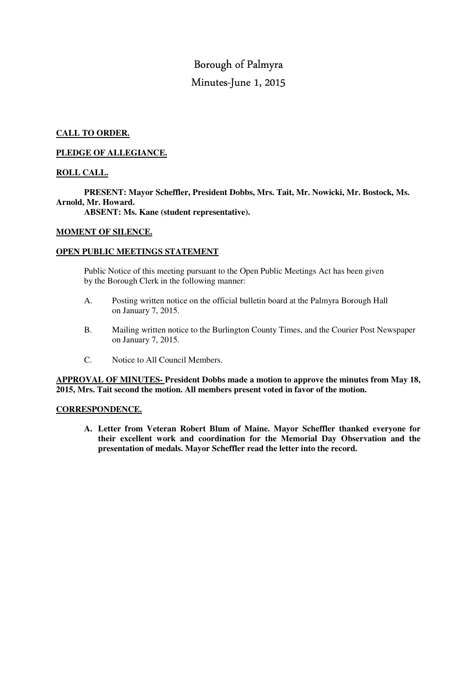# Borough of Palmyra Minutes-June 1, 2015

# **CALL TO ORDER.**

## **PLEDGE OF ALLEGIANCE.**

# **ROLL CALL.**

 **PRESENT: Mayor Scheffler, President Dobbs, Mrs. Tait, Mr. Nowicki, Mr. Bostock, Ms. Arnold, Mr. Howard.** 

 **ABSENT: Ms. Kane (student representative).** 

## **MOMENT OF SILENCE.**

### **OPEN PUBLIC MEETINGS STATEMENT**

 Public Notice of this meeting pursuant to the Open Public Meetings Act has been given by the Borough Clerk in the following manner:

- A. Posting written notice on the official bulletin board at the Palmyra Borough Hall on January 7, 2015.
- B. Mailing written notice to the Burlington County Times, and the Courier Post Newspaper on January 7, 2015.
- C. Notice to All Council Members.

**APPROVAL OF MINUTES- President Dobbs made a motion to approve the minutes from May 18, 2015, Mrs. Tait second the motion. All members present voted in favor of the motion.** 

## **CORRESPONDENCE.**

**A. Letter from Veteran Robert Blum of Maine. Mayor Scheffler thanked everyone for their excellent work and coordination for the Memorial Day Observation and the presentation of medals. Mayor Scheffler read the letter into the record.**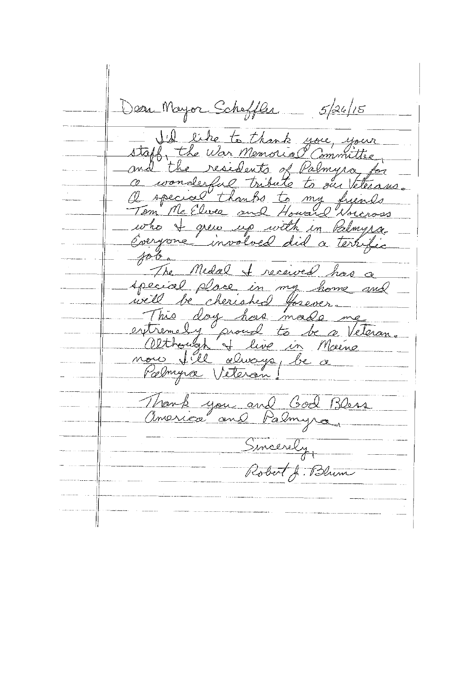Deer Mayor Scheffler \_ 5/26/15 he to thank you, your staff, the War Memorial residents of Palmyra for <u>d</u> th wonderful tribute to our Vetera<br>special thanks to my friends 2 Nore in Palmyra grew up with Everyone involved a terrific received has a The Medal special place in my home and<br>well be cherished forever.<br>- This day has made me<br>extremely proud to be a Veteran<br>now fill always be a Palmyra Veteran you and God Bless Palmyra ica and Sincerely Robert J. Blum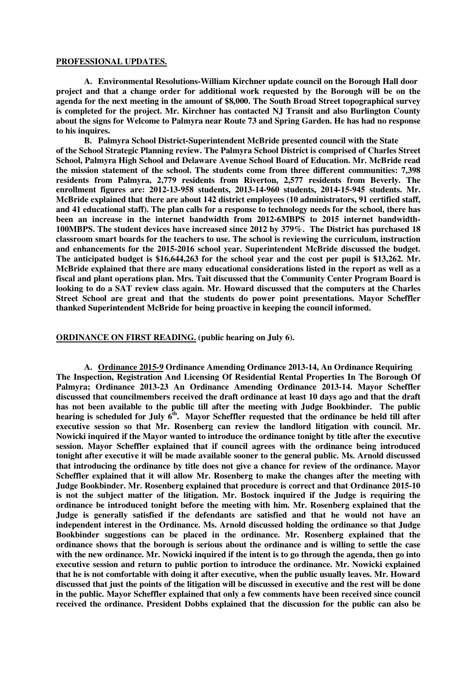#### **PROFESSIONAL UPDATES.**

**A. Environmental Resolutions-William Kirchner update council on the Borough Hall door project and that a change order for additional work requested by the Borough will be on the agenda for the next meeting in the amount of \$8,000. The South Broad Street topographical survey is completed for the project. Mr. Kirchner has contacted NJ Transit and also Burlington County about the signs for Welcome to Palmyra near Route 73 and Spring Garden. He has had no response to his inquires.** 

**B. Palmyra School District-Superintendent McBride presented council with the State of the School Strategic Planning review. The Palmyra School District is comprised of Charles Street School, Palmyra High School and Delaware Avenue School Board of Education. Mr. McBride read the mission statement of the school. The students come from three different communities: 7,398 residents from Palmyra, 2,779 residents from Riverton, 2,577 residents from Beverly. The enrollment figures are: 2012-13-958 students, 2013-14-960 students, 2014-15-945 students. Mr. McBride explained that there are about 142 district employees (10 administrators, 91 certified staff, and 41 educational staff). The plan calls for a response to technology needs for the school, there has been an increase in the internet bandwidth from 2012-6MBPS to 2015 internet bandwidth-100MBPS. The student devices have increased since 2012 by 379%. The District has purchased 18 classroom smart boards for the teachers to use. The school is reviewing the curriculum, instruction and enhancements for the 2015-2016 school year. Superintendent McBride discussed the budget. The anticipated budget is \$16,644,263 for the school year and the cost per pupil is \$13,262. Mr. McBride explained that there are many educational considerations listed in the report as well as a fiscal and plant operations plan. Mrs. Tait discussed that the Community Center Program Board is looking to do a SAT review class again. Mr. Howard discussed that the computers at the Charles Street School are great and that the students do power point presentations. Mayor Scheffler thanked Superintendent McBride for being proactive in keeping the council informed.** 

**ORDINANCE ON FIRST READING. (public hearing on July 6).** 

**A. Ordinance 2015-9 Ordinance Amending Ordinance 2013-14, An Ordinance Requiring The Inspection, Registration And Licensing Of Residential Rental Properties In The Borough Of Palmyra; Ordinance 2013-23 An Ordinance Amending Ordinance 2013-14. Mayor Scheffler discussed that councilmembers received the draft ordinance at least 10 days ago and that the draft has not been available to the public till after the meeting with Judge Bookbinder. The public hearing is scheduled for July 6th. Mayor Scheffler requested that the ordinance be held till after executive session so that Mr. Rosenberg can review the landlord litigation with council. Mr. Nowicki inquired if the Mayor wanted to introduce the ordinance tonight by title after the executive session. Mayor Scheffler explained that if council agrees with the ordinance being introduced tonight after executive it will be made available sooner to the general public. Ms. Arnold discussed that introducing the ordinance by title does not give a chance for review of the ordinance. Mayor Scheffler explained that it will allow Mr. Rosenberg to make the changes after the meeting with Judge Bookbinder. Mr. Rosenberg explained that procedure is correct and that Ordinance 2015-10 is not the subject matter of the litigation. Mr. Bostock inquired if the Judge is requiring the ordinance be introduced tonight before the meeting with him. Mr. Rosenberg explained that the Judge is generally satisfied if the defendants are satisfied and that he would not have an independent interest in the Ordinance. Ms. Arnold discussed holding the ordinance so that Judge Bookbinder suggestions can be placed in the ordinance. Mr. Rosenberg explained that the ordinance shows that the borough is serious about the ordinance and is willing to settle the case with the new ordinance. Mr. Nowicki inquired if the intent is to go through the agenda, then go into executive session and return to public portion to introduce the ordinance. Mr. Nowicki explained that he is not comfortable with doing it after executive, when the public usually leaves. Mr. Howard discussed that just the points of the litigation will be discussed in executive and the rest will be done in the public. Mayor Scheffler explained that only a few comments have been received since council received the ordinance. President Dobbs explained that the discussion for the public can also be**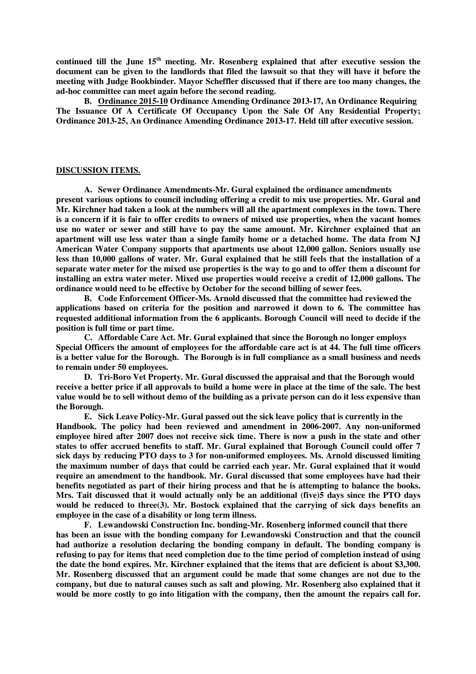**continued till the June 15th meeting. Mr. Rosenberg explained that after executive session the document can be given to the landlords that filed the lawsuit so that they will have it before the meeting with Judge Bookbinder. Mayor Scheffler discussed that if there are too many changes, the ad-hoc committee can meet again before the second reading.** 

**B. Ordinance 2015-10 Ordinance Amending Ordinance 2013-17, An Ordinance Requiring The Issuance Of A Certificate Of Occupancy Upon the Sale Of Any Residential Property; Ordinance 2013-25, An Ordinance Amending Ordinance 2013-17. Held till after executive session.** 

#### **DISCUSSION ITEMS.**

**A. Sewer Ordinance Amendments-Mr. Gural explained the ordinance amendments present various options to council including offering a credit to mix use properties. Mr. Gural and Mr. Kirchner had taken a look at the numbers will all the apartment complexes in the town. There is a concern if it is fair to offer credits to owners of mixed use properties, when the vacant homes use no water or sewer and still have to pay the same amount. Mr. Kirchner explained that an apartment will use less water than a single family home or a detached home. The data from NJ American Water Company supports that apartments use about 12,000 gallon. Seniors usually use less than 10,000 gallons of water. Mr. Gural explained that he still feels that the installation of a separate water meter for the mixed use properties is the way to go and to offer them a discount for installing an extra water meter. Mixed use properties would receive a credit of 12,000 gallons. The ordinance would need to be effective by October for the second billing of sewer fees.** 

**B. Code Enforcement Officer-Ms. Arnold discussed that the committee had reviewed the applications based on criteria for the position and narrowed it down to 6. The committee has requested additional information from the 6 applicants. Borough Council will need to decide if the position is full time or part time.** 

**C. Affordable Care Act. Mr. Gural explained that since the Borough no longer employs Special Officers the amount of employees for the affordable care act is at 44. The full time officers is a better value for the Borough. The Borough is in full compliance as a small business and needs to remain under 50 employees.** 

**D. Tri-Boro Vet Property. Mr. Gural discussed the appraisal and that the Borough would receive a better price if all approvals to build a home were in place at the time of the sale. The best value would be to sell without demo of the building as a private person can do it less expensive than the Borough.** 

**E. Sick Leave Policy-Mr. Gural passed out the sick leave policy that is currently in the Handbook. The policy had been reviewed and amendment in 2006-2007. Any non-uniformed employee hired after 2007 does not receive sick time. There is now a push in the state and other states to offer accrued benefits to staff. Mr. Gural explained that Borough Council could offer 7 sick days by reducing PTO days to 3 for non-uniformed employees. Ms. Arnold discussed limiting the maximum number of days that could be carried each year. Mr. Gural explained that it would require an amendment to the handbook. Mr. Gural discussed that some employees have had their benefits negotiated as part of their hiring process and that he is attempting to balance the books. Mrs. Tait discussed that it would actually only be an additional (five)5 days since the PTO days would be reduced to three(3). Mr. Bostock explained that the carrying of sick days benefits an employee in the case of a disability or long term illness.** 

**F. Lewandowski Construction Inc. bonding-Mr. Rosenberg informed council that there has been an issue with the bonding company for Lewandowski Construction and that the council had authorize a resolution declaring the bonding company in default. The bonding company is refusing to pay for items that need completion due to the time period of completion instead of using the date the bond expires. Mr. Kirchner explained that the items that are deficient is about \$3,300. Mr. Rosenberg discussed that an argument could be made that some changes are not due to the company, but due to natural causes such as salt and plowing. Mr. Rosenberg also explained that it would be more costly to go into litigation with the company, then the amount the repairs call for.**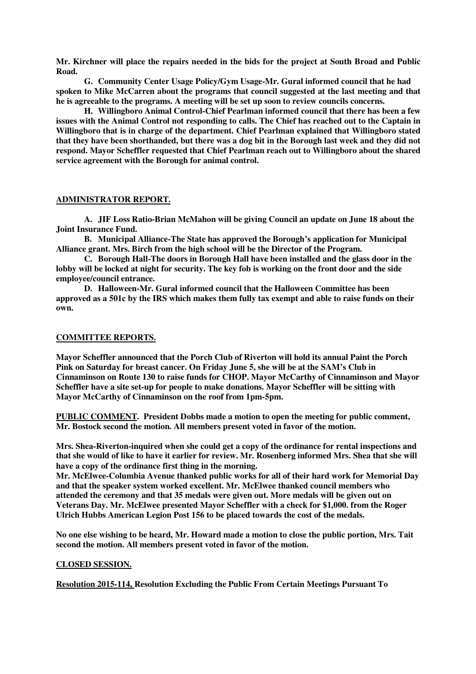**Mr. Kirchner will place the repairs needed in the bids for the project at South Broad and Public Road.** 

**G. Community Center Usage Policy/Gym Usage-Mr. Gural informed council that he had spoken to Mike McCarren about the programs that council suggested at the last meeting and that he is agreeable to the programs. A meeting will be set up soon to review councils concerns.** 

**H. Willingboro Animal Control-Chief Pearlman informed council that there has been a few issues with the Animal Control not responding to calls. The Chief has reached out to the Captain in Willingboro that is in charge of the department. Chief Pearlman explained that Willingboro stated that they have been shorthanded, but there was a dog bit in the Borough last week and they did not respond. Mayor Scheffler requested that Chief Pearlman reach out to Willingboro about the shared service agreement with the Borough for animal control.** 

### **ADMINISTRATOR REPORT.**

**A. JIF Loss Ratio-Brian McMahon will be giving Council an update on June 18 about the Joint Insurance Fund.** 

**B. Municipal Alliance-The State has approved the Borough's application for Municipal Alliance grant. Mrs. Birch from the high school will be the Director of the Program.** 

**C. Borough Hall-The doors in Borough Hall have been installed and the glass door in the lobby will be locked at night for security. The key fob is working on the front door and the side employee/council entrance.** 

**D. Halloween-Mr. Gural informed council that the Halloween Committee has been approved as a 501c by the IRS which makes them fully tax exempt and able to raise funds on their own.** 

#### **COMMITTEE REPORTS.**

**Mayor Scheffler announced that the Porch Club of Riverton will hold its annual Paint the Porch Pink on Saturday for breast cancer. On Friday June 5, she will be at the SAM's Club in Cinnaminson on Route 130 to raise funds for CHOP. Mayor McCarthy of Cinnaminson and Mayor Scheffler have a site set-up for people to make donations. Mayor Scheffler will be sitting with Mayor McCarthy of Cinnaminson on the roof from 1pm-5pm.** 

**PUBLIC COMMENT. President Dobbs made a motion to open the meeting for public comment, Mr. Bostock second the motion. All members present voted in favor of the motion.** 

**Mrs. Shea-Riverton-inquired when she could get a copy of the ordinance for rental inspections and that she would of like to have it earlier for review. Mr. Rosenberg informed Mrs. Shea that she will have a copy of the ordinance first thing in the morning.** 

**Mr. McElwee-Columbia Avenue thanked public works for all of their hard work for Memorial Day and that the speaker system worked excellent. Mr. McElwee thanked council members who attended the ceremony and that 35 medals were given out. More medals will be given out on Veterans Day. Mr. McElwee presented Mayor Scheffler with a check for \$1,000. from the Roger Ulrich Hubbs American Legion Post 156 to be placed towards the cost of the medals.** 

**No one else wishing to be heard, Mr. Howard made a motion to close the public portion, Mrs. Tait second the motion. All members present voted in favor of the motion.** 

#### **CLOSED SESSION.**

**Resolution 2015-114, Resolution Excluding the Public From Certain Meetings Pursuant To**